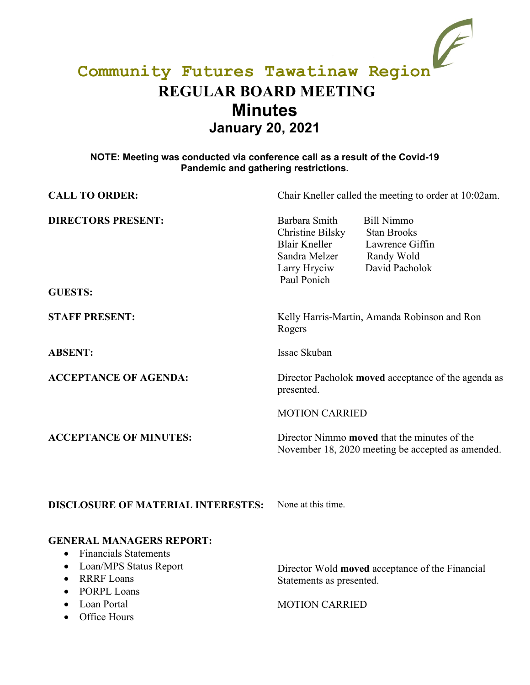# **Community Futures Tawatinaw Region REGULAR BOARD MEETING Minutes January 20, 2021**

#### **NOTE: Meeting was conducted via conference call as a result of the Covid-19 Pandemic and gathering restrictions.**

| <b>CALL TO ORDER:</b>                       | Chair Kneller called the meeting to order at 10:02am.                                                     |                                                                                                          |
|---------------------------------------------|-----------------------------------------------------------------------------------------------------------|----------------------------------------------------------------------------------------------------------|
| <b>DIRECTORS PRESENT:</b><br><b>GUESTS:</b> | Barbara Smith<br>Christine Bilsky<br><b>Blair Kneller</b><br>Sandra Melzer<br>Larry Hryciw<br>Paul Ponich | <b>Bill Nimmo</b><br><b>Stan Brooks</b><br>Lawrence Giffin<br>Randy Wold<br>David Pacholok               |
| <b>STAFF PRESENT:</b>                       | Kelly Harris-Martin, Amanda Robinson and Ron<br>Rogers                                                    |                                                                                                          |
| <b>ABSENT:</b>                              | Issac Skuban                                                                                              |                                                                                                          |
| <b>ACCEPTANCE OF AGENDA:</b>                | Director Pacholok <b>moved</b> acceptance of the agenda as<br>presented.<br><b>MOTION CARRIED</b>         |                                                                                                          |
|                                             |                                                                                                           |                                                                                                          |
| <b>ACCEPTANCE OF MINUTES:</b>               |                                                                                                           | Director Nimmo <b>moved</b> that the minutes of the<br>November 18, 2020 meeting be accepted as amended. |

**DISCLOSURE OF MATERIAL INTERESTES:** None at this time.

### **GENERAL MANAGERS REPORT:**

- Financials Statements
- Loan/MPS Status Report
- RRRF Loans
- PORPL Loans
- Loan Portal
- Office Hours

Director Wold **moved** acceptance of the Financial Statements as presented.

### MOTION CARRIED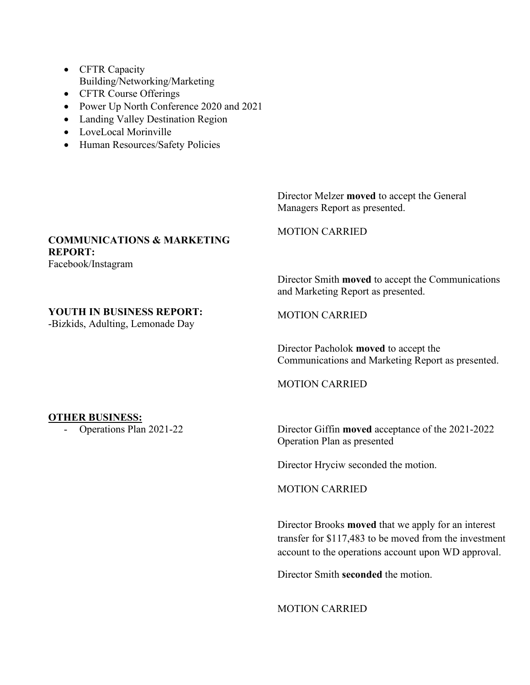- CFTR Capacity Building/Networking/Marketing
- CFTR Course Offerings
- Power Up North Conference 2020 and 2021
- Landing Valley Destination Region
- LoveLocal Morinville
- Human Resources/Safety Policies

Director Melzer **moved** to accept the General Managers Report as presented.

## **COMMUNICATIONS & MARKETING REPORT:**

Facebook/Instagram

#### **YOUTH IN BUSINESS REPORT:**

-Bizkids, Adulting, Lemonade Day

MOTION CARRIED

Director Smith **moved** to accept the Communications and Marketing Report as presented.

MOTION CARRIED

Director Pacholok **moved** to accept the Communications and Marketing Report as presented.

MOTION CARRIED

**OTHER BUSINESS:**<br>- Operations Plan 2021-22

Director Giffin **moved** acceptance of the 2021-2022 Operation Plan as presented

Director Hryciw seconded the motion.

MOTION CARRIED

Director Brooks **moved** that we apply for an interest transfer for \$117,483 to be moved from the investment account to the operations account upon WD approval.

Director Smith **seconded** the motion.

MOTION CARRIED